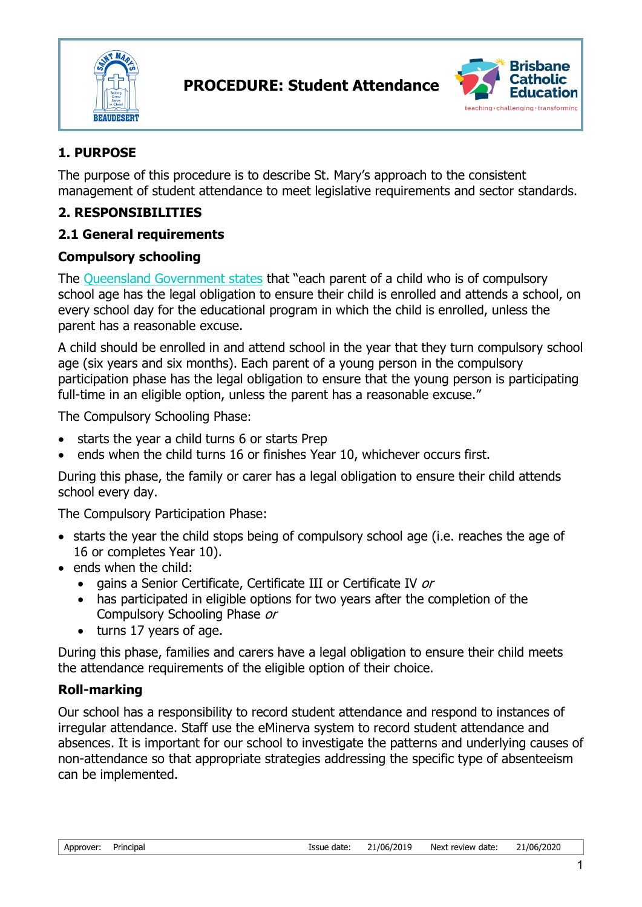



## **1. PURPOSE**

The purpose of this procedure is to describe St. Mary's approach to the consistent management of student attendance to meet legislative requirements and sector standards.

## **2. RESPONSIBILITIES**

## **2.1 General requirements**

#### **Compulsory schooling**

The [Queensland Government states](http://ppr.det.qld.gov.au/education/management/Pages/Managing-Student-Absences-and-Enforcing-Enrolment-and-Attendance-at-State-Schools.aspx) that "each parent of a child who is of compulsory school age has the legal obligation to ensure their child is enrolled and attends a school, on every school day for the educational program in which the child is enrolled, unless the parent has a reasonable excuse.

A child should be enrolled in and attend school in the year that they turn compulsory school age (six years and six months). Each parent of a young person in the compulsory participation phase has the legal obligation to ensure that the young person is participating full-time in an eligible option, unless the parent has a reasonable excuse."

The Compulsory Schooling Phase:

- starts the year a child turns 6 or starts Prep
- ends when the child turns 16 or finishes Year 10, whichever occurs first.

During this phase, the family or carer has a legal obligation to ensure their child attends school every day.

The Compulsory Participation Phase:

- starts the year the child stops being of compulsory school age (i.e. reaches the age of 16 or completes Year 10).
- ends when the child:
	- gains a Senior Certificate, Certificate III or Certificate IV or
	- has participated in eligible options for two vears after the completion of the Compulsory Schooling Phase or
	- turns 17 years of age.

During this phase, families and carers have a legal obligation to ensure their child meets the attendance requirements of the eligible option of their choice.

## **Roll-marking**

Our school has a responsibility to record student attendance and respond to instances of irregular attendance. Staff use the eMinerva system to record student attendance and absences. It is important for our school to investigate the patterns and underlying causes of non-attendance so that appropriate strategies addressing the specific type of absenteeism can be implemented.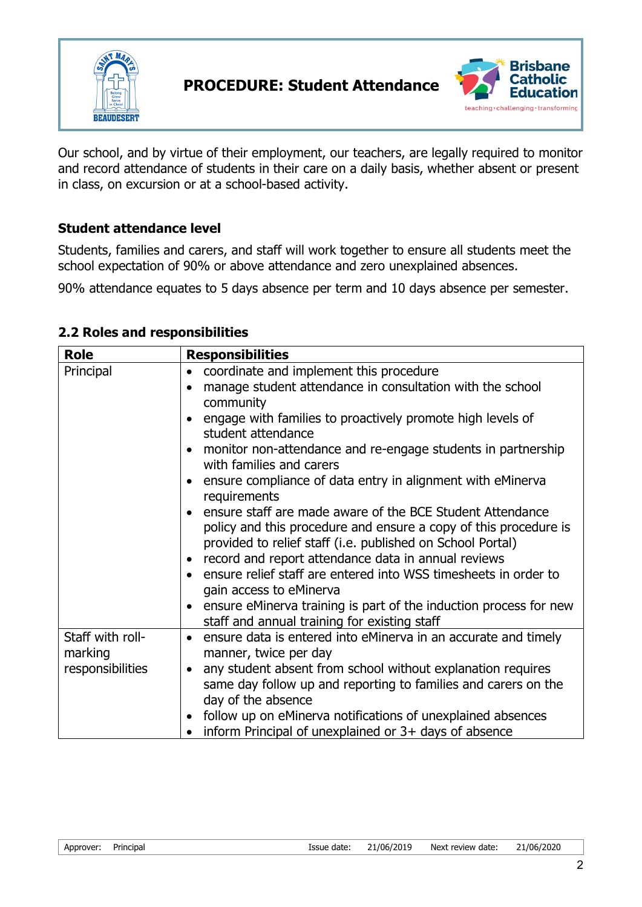

**PROCEDURE: Student Attendance** 



Our school, and by virtue of their employment, our teachers, are legally required to monitor and record attendance of students in their care on a daily basis, whether absent or present in class, on excursion or at a school-based activity.

## **Student attendance level**

Students, families and carers, and staff will work together to ensure all students meet the school expectation of 90% or above attendance and zero unexplained absences.

90% attendance equates to 5 days absence per term and 10 days absence per semester.

#### **2.2 Roles and responsibilities**

| <b>Role</b>                 | <b>Responsibilities</b>                                                                                                                                                                                                                                                                                                                                         |
|-----------------------------|-----------------------------------------------------------------------------------------------------------------------------------------------------------------------------------------------------------------------------------------------------------------------------------------------------------------------------------------------------------------|
| Principal                   | coordinate and implement this procedure<br>$\bullet$                                                                                                                                                                                                                                                                                                            |
|                             | manage student attendance in consultation with the school<br>$\bullet$                                                                                                                                                                                                                                                                                          |
|                             | community                                                                                                                                                                                                                                                                                                                                                       |
|                             | engage with families to proactively promote high levels of<br>student attendance                                                                                                                                                                                                                                                                                |
|                             | monitor non-attendance and re-engage students in partnership<br>with families and carers                                                                                                                                                                                                                                                                        |
|                             | ensure compliance of data entry in alignment with eMinerva<br>$\bullet$<br>requirements                                                                                                                                                                                                                                                                         |
|                             | ensure staff are made aware of the BCE Student Attendance<br>policy and this procedure and ensure a copy of this procedure is<br>provided to relief staff (i.e. published on School Portal)<br>record and report attendance data in annual reviews<br>$\bullet$<br>• ensure relief staff are entered into WSS timesheets in order to<br>gain access to eMinerva |
|                             | ensure eMinerva training is part of the induction process for new<br>$\bullet$<br>staff and annual training for existing staff                                                                                                                                                                                                                                  |
| Staff with roll-<br>marking | ensure data is entered into eMinerva in an accurate and timely<br>$\bullet$<br>manner, twice per day                                                                                                                                                                                                                                                            |
| responsibilities            | any student absent from school without explanation requires<br>$\bullet$<br>same day follow up and reporting to families and carers on the<br>day of the absence<br>follow up on eMinerva notifications of unexplained absences<br>$\bullet$<br>inform Principal of unexplained or $3+$ days of absence                                                         |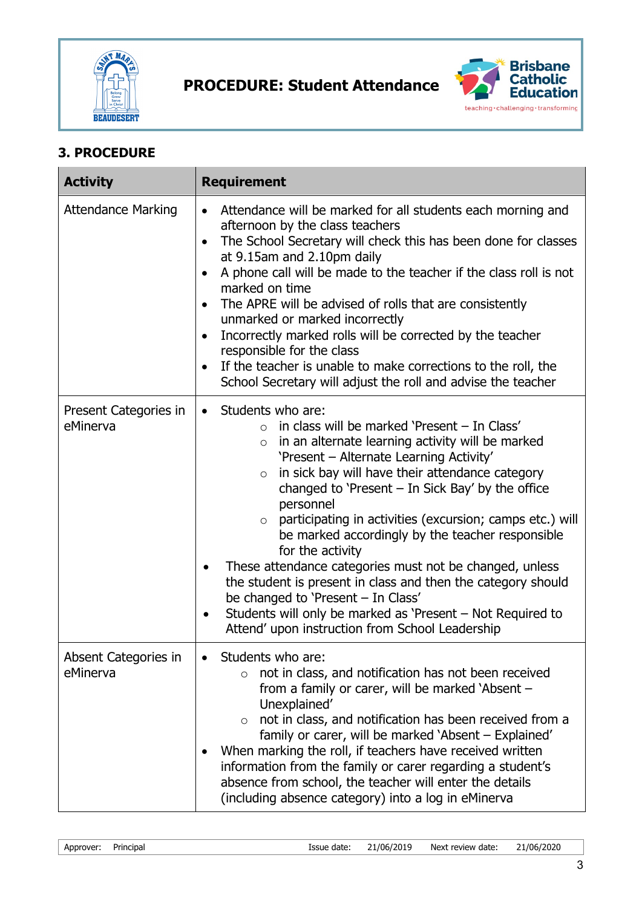



## **3. PROCEDURE**

| <b>Activity</b>                   | <b>Requirement</b>                                                                                                                                                                                                                                                                                                                                                                                                                                                                                                                                                                                                                                                                                                                                                           |
|-----------------------------------|------------------------------------------------------------------------------------------------------------------------------------------------------------------------------------------------------------------------------------------------------------------------------------------------------------------------------------------------------------------------------------------------------------------------------------------------------------------------------------------------------------------------------------------------------------------------------------------------------------------------------------------------------------------------------------------------------------------------------------------------------------------------------|
| <b>Attendance Marking</b>         | Attendance will be marked for all students each morning and<br>$\bullet$<br>afternoon by the class teachers<br>The School Secretary will check this has been done for classes<br>$\bullet$<br>at 9.15am and 2.10pm daily<br>A phone call will be made to the teacher if the class roll is not<br>marked on time<br>The APRE will be advised of rolls that are consistently<br>unmarked or marked incorrectly<br>Incorrectly marked rolls will be corrected by the teacher<br>responsible for the class<br>If the teacher is unable to make corrections to the roll, the<br>School Secretary will adjust the roll and advise the teacher                                                                                                                                      |
| Present Categories in<br>eMinerva | Students who are:<br>$\bullet$<br>$\circ$ in class will be marked 'Present – In Class'<br>$\circ$ in an alternate learning activity will be marked<br>'Present - Alternate Learning Activity'<br>in sick bay will have their attendance category<br>$\circ$<br>changed to 'Present $-$ In Sick Bay' by the office<br>personnel<br>participating in activities (excursion; camps etc.) will<br>$\circ$<br>be marked accordingly by the teacher responsible<br>for the activity<br>These attendance categories must not be changed, unless<br>$\bullet$<br>the student is present in class and then the category should<br>be changed to 'Present - In Class'<br>Students will only be marked as 'Present - Not Required to<br>Attend' upon instruction from School Leadership |
| Absent Categories in<br>eMinerva  | Students who are:<br>not in class, and notification has not been received<br>$\Omega$<br>from a family or carer, will be marked 'Absent -<br>Unexplained'<br>not in class, and notification has been received from a<br>$\circ$<br>family or carer, will be marked 'Absent - Explained'<br>When marking the roll, if teachers have received written<br>information from the family or carer regarding a student's<br>absence from school, the teacher will enter the details<br>(including absence category) into a log in eMinerva                                                                                                                                                                                                                                          |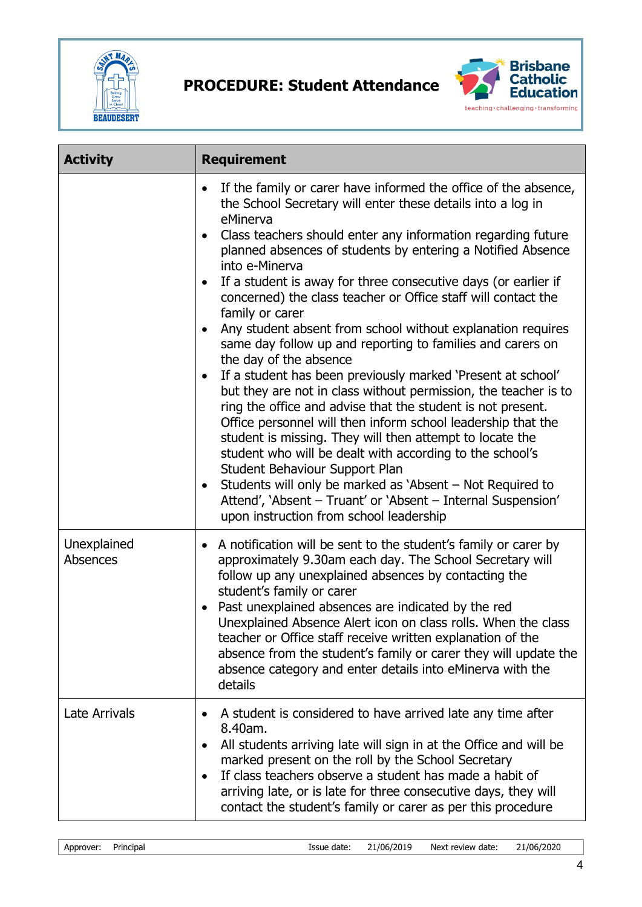

**PROCEDURE: Student Attendance** 



| <b>Activity</b>         | <b>Requirement</b>                                                                                                                                                                                                                                                                                                                                                                                                                                                                                                                                                                                                                                                                                                                                                                                                                                                                                                                                                                                                                                                                                                                                                                                          |
|-------------------------|-------------------------------------------------------------------------------------------------------------------------------------------------------------------------------------------------------------------------------------------------------------------------------------------------------------------------------------------------------------------------------------------------------------------------------------------------------------------------------------------------------------------------------------------------------------------------------------------------------------------------------------------------------------------------------------------------------------------------------------------------------------------------------------------------------------------------------------------------------------------------------------------------------------------------------------------------------------------------------------------------------------------------------------------------------------------------------------------------------------------------------------------------------------------------------------------------------------|
|                         | If the family or carer have informed the office of the absence,<br>the School Secretary will enter these details into a log in<br>eMinerva<br>Class teachers should enter any information regarding future<br>planned absences of students by entering a Notified Absence<br>into e-Minerva<br>If a student is away for three consecutive days (or earlier if<br>concerned) the class teacher or Office staff will contact the<br>family or carer<br>Any student absent from school without explanation requires<br>same day follow up and reporting to families and carers on<br>the day of the absence<br>If a student has been previously marked 'Present at school'<br>but they are not in class without permission, the teacher is to<br>ring the office and advise that the student is not present.<br>Office personnel will then inform school leadership that the<br>student is missing. They will then attempt to locate the<br>student who will be dealt with according to the school's<br>Student Behaviour Support Plan<br>Students will only be marked as 'Absent – Not Required to<br>Attend', 'Absent - Truant' or 'Absent - Internal Suspension'<br>upon instruction from school leadership |
| Unexplained<br>Absences | A notification will be sent to the student's family or carer by<br>$\bullet$<br>approximately 9.30am each day. The School Secretary will<br>follow up any unexplained absences by contacting the<br>student's family or carer<br>Past unexplained absences are indicated by the red<br>Unexplained Absence Alert icon on class rolls. When the class<br>teacher or Office staff receive written explanation of the<br>absence from the student's family or carer they will update the<br>absence category and enter details into eMinerva with the<br>details                                                                                                                                                                                                                                                                                                                                                                                                                                                                                                                                                                                                                                               |
| <b>Late Arrivals</b>    | A student is considered to have arrived late any time after<br>8.40am.<br>All students arriving late will sign in at the Office and will be<br>marked present on the roll by the School Secretary<br>If class teachers observe a student has made a habit of<br>arriving late, or is late for three consecutive days, they will<br>contact the student's family or carer as per this procedure                                                                                                                                                                                                                                                                                                                                                                                                                                                                                                                                                                                                                                                                                                                                                                                                              |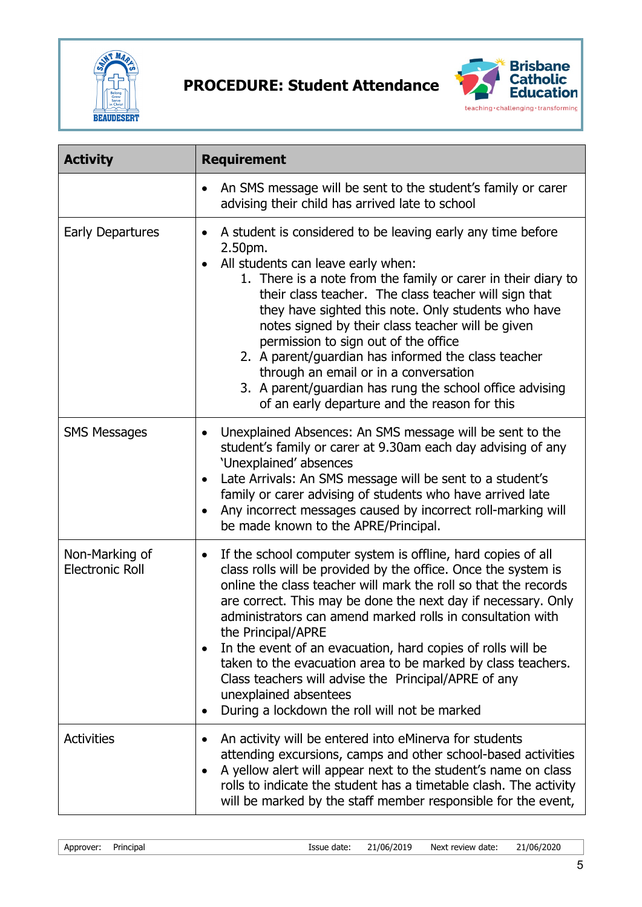



| <b>Activity</b>                          | <b>Requirement</b>                                                                                                                                                                                                                                                                                                                                                                                                                                                                                                                                                                                                                                     |
|------------------------------------------|--------------------------------------------------------------------------------------------------------------------------------------------------------------------------------------------------------------------------------------------------------------------------------------------------------------------------------------------------------------------------------------------------------------------------------------------------------------------------------------------------------------------------------------------------------------------------------------------------------------------------------------------------------|
|                                          | An SMS message will be sent to the student's family or carer<br>advising their child has arrived late to school                                                                                                                                                                                                                                                                                                                                                                                                                                                                                                                                        |
| <b>Early Departures</b>                  | A student is considered to be leaving early any time before<br>$\bullet$<br>2.50pm.<br>All students can leave early when:<br>1. There is a note from the family or carer in their diary to<br>their class teacher. The class teacher will sign that<br>they have sighted this note. Only students who have<br>notes signed by their class teacher will be given<br>permission to sign out of the office<br>2. A parent/guardian has informed the class teacher<br>through an email or in a conversation<br>3. A parent/guardian has rung the school office advising<br>of an early departure and the reason for this                                   |
| <b>SMS Messages</b>                      | Unexplained Absences: An SMS message will be sent to the<br>$\bullet$<br>student's family or carer at 9.30am each day advising of any<br>'Unexplained' absences<br>Late Arrivals: An SMS message will be sent to a student's<br>family or carer advising of students who have arrived late<br>Any incorrect messages caused by incorrect roll-marking will<br>be made known to the APRE/Principal.                                                                                                                                                                                                                                                     |
| Non-Marking of<br><b>Electronic Roll</b> | If the school computer system is offline, hard copies of all<br>$\bullet$<br>class rolls will be provided by the office. Once the system is<br>online the class teacher will mark the roll so that the records<br>are correct. This may be done the next day if necessary. Only<br>administrators can amend marked rolls in consultation with<br>the Principal/APRE<br>In the event of an evacuation, hard copies of rolls will be<br>$\bullet$<br>taken to the evacuation area to be marked by class teachers.<br>Class teachers will advise the Principal/APRE of any<br>unexplained absentees<br>During a lockdown the roll will not be marked<br>٠ |
| <b>Activities</b>                        | An activity will be entered into eMinerva for students<br>attending excursions, camps and other school-based activities<br>A yellow alert will appear next to the student's name on class<br>٠<br>rolls to indicate the student has a timetable clash. The activity<br>will be marked by the staff member responsible for the event,                                                                                                                                                                                                                                                                                                                   |